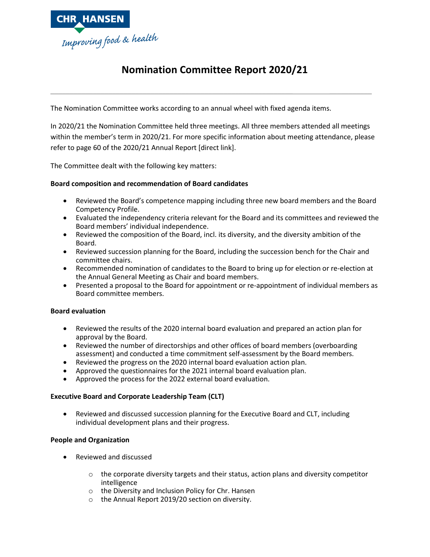

# **Nomination Committee Report 2020/21**

**\_\_\_\_\_\_\_\_\_\_\_\_\_\_\_\_\_\_\_\_\_\_\_\_\_\_\_\_\_\_\_\_\_\_\_\_\_\_\_\_\_\_\_\_\_\_\_\_\_\_\_\_\_\_\_\_\_\_\_\_\_\_\_ \_\_\_\_\_\_\_\_\_\_\_**

The Nomination Committee works according to an annual wheel with fixed agenda items.

In 2020/21 the Nomination Committee held three meetings. All three members attended all meetings within the member's term in 2020/21. For more specific information about meeting attendance, please refer to page 60 of the 2020/21 Annual Report [direct link].

The Committee dealt with the following key matters:

## **Board composition and recommendation of Board candidates**

- Reviewed the Board's competence mapping including three new board members and the Board Competency Profile.
- Evaluated the independency criteria relevant for the Board and its committees and reviewed the Board members' individual independence.
- Reviewed the composition of the Board, incl. its diversity, and the diversity ambition of the Board.
- Reviewed succession planning for the Board, including the succession bench for the Chair and committee chairs.
- Recommended nomination of candidates to the Board to bring up for election or re-election at the Annual General Meeting as Chair and board members.
- Presented a proposal to the Board for appointment or re-appointment of individual members as Board committee members.

### **Board evaluation**

- Reviewed the results of the 2020 internal board evaluation and prepared an action plan for approval by the Board.
- Reviewed the number of directorships and other offices of board members (overboarding assessment) and conducted a time commitment self-assessment by the Board members.
- Reviewed the progress on the 2020 internal board evaluation action plan.
- Approved the questionnaires for the 2021 internal board evaluation plan.
- Approved the process for the 2022 external board evaluation.

### **Executive Board and Corporate Leadership Team (CLT)**

• Reviewed and discussed succession planning for the Executive Board and CLT, including individual development plans and their progress.

### **People and Organization**

- Reviewed and discussed
	- $\circ$  the corporate diversity targets and their status, action plans and diversity competitor intelligence
	- o the Diversity and Inclusion Policy for Chr. Hansen
	- o the Annual Report 2019/20 section on diversity.